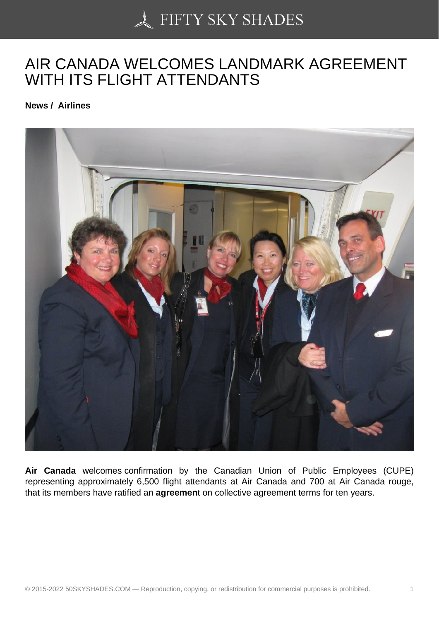## [AIR CANADA WELCO](https://50skyshades.com)MES LANDMARK AGREEMENT WITH ITS FLIGHT ATTENDANTS

News / Airlines

Air Canada welcomes confirmation by the Canadian Union of Public Employees (CUPE) representing approximately 6,500 flight attendants at Air Canada and 700 at Air Canada rouge, that its members have ratified an agreemen t on collective agreement terms for ten years.